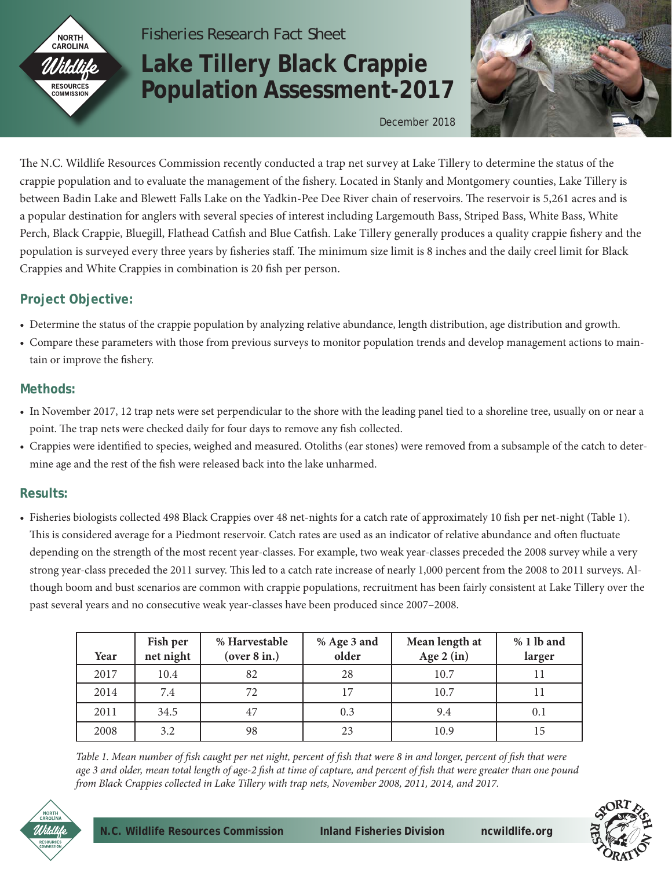

# *Fisheries Research Fact Sheet*

# **Lake Tillery Black Crappie Population Assessment-2017**



December 2018

The N.C. Wildlife Resources Commission recently conducted a trap net survey at Lake Tillery to determine the status of the crappie population and to evaluate the management of the fishery. Located in Stanly and Montgomery counties, Lake Tillery is between Badin Lake and Blewett Falls Lake on the Yadkin-Pee Dee River chain of reservoirs. The reservoir is 5,261 acres and is a popular destination for anglers with several species of interest including Largemouth Bass, Striped Bass, White Bass, White Perch, Black Crappie, Bluegill, Flathead Catfish and Blue Catfish. Lake Tillery generally produces a quality crappie fishery and the population is surveyed every three years by fisheries staff. The minimum size limit is 8 inches and the daily creel limit for Black Crappies and White Crappies in combination is 20 fish per person.

# **Project Objective:**

- Determine the status of the crappie population by analyzing relative abundance, length distribution, age distribution and growth.
- Compare these parameters with those from previous surveys to monitor population trends and develop management actions to maintain or improve the fishery.

## **Methods:**

- In November 2017, 12 trap nets were set perpendicular to the shore with the leading panel tied to a shoreline tree, usually on or near a point. The trap nets were checked daily for four days to remove any fish collected.
- Crappies were identified to species, weighed and measured. Otoliths (ear stones) were removed from a subsample of the catch to determine age and the rest of the fish were released back into the lake unharmed.

### **Results:**

• Fisheries biologists collected 498 Black Crappies over 48 net-nights for a catch rate of approximately 10 fish per net-night (Table 1). This is considered average for a Piedmont reservoir. Catch rates are used as an indicator of relative abundance and often fluctuate depending on the strength of the most recent year-classes. For example, two weak year-classes preceded the 2008 survey while a very strong year-class preceded the 2011 survey. This led to a catch rate increase of nearly 1,000 percent from the 2008 to 2011 surveys. Although boom and bust scenarios are common with crappie populations, recruitment has been fairly consistent at Lake Tillery over the past several years and no consecutive weak year-classes have been produced since 2007–2008.

| Year | Fish per<br>net night | % Harvestable<br>(over 8 in.) | % Age 3 and<br>older | Mean length at<br>Age $2$ (in) | $% 1 lb$ and<br>larger |
|------|-----------------------|-------------------------------|----------------------|--------------------------------|------------------------|
| 2017 | 10.4                  | 82                            | 28                   | 10.7                           |                        |
| 2014 | 7.4                   | 72                            | 17                   | 10.7                           |                        |
| 2011 | 34.5                  | 47                            | 0.3                  | 9.4                            | 0.1                    |
| 2008 | 3.2                   | 98                            | 23                   | 10.9                           | 15                     |

*Table 1. Mean number of fish caught per net night, percent of fish that were 8 in and longer, percent of fish that were age 3 and older, mean total length of age-2 fish at time of capture, and percent of fish that were greater than one pound from Black Crappies collected in Lake Tillery with trap nets, November 2008, 2011, 2014, and 2017.*